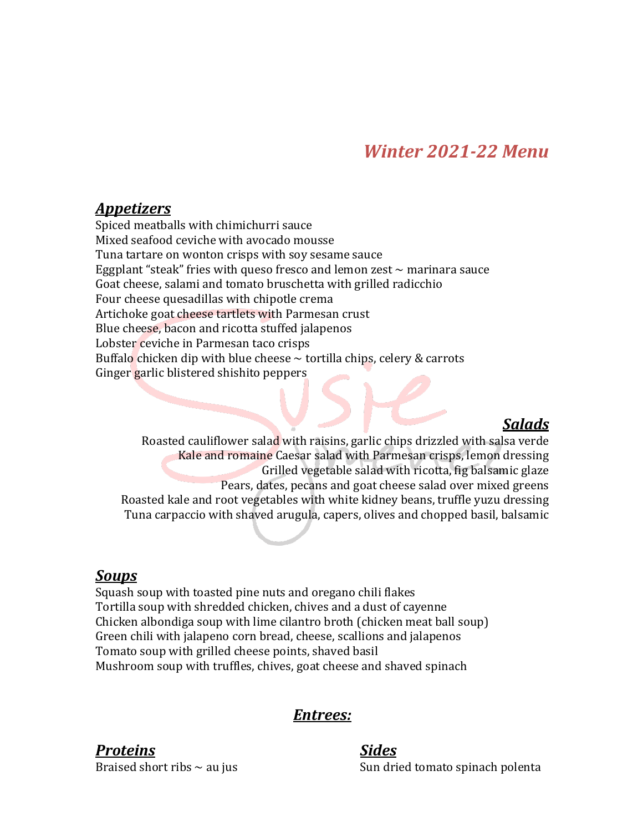# *Winter 2021-22 Menu*

## *Appetizers*

Spiced meatballs with chimichurri sauce Mixed seafood ceviche with avocado mousse Tuna tartare on wonton crisps with soy sesame sauce Eggplant "steak" fries with queso fresco and lemon zest  $\sim$  marinara sauce Goat cheese, salami and tomato bruschetta with grilled radicchio Four cheese quesadillas with chipotle crema Artichoke goat cheese tartlets with Parmesan crust Blue cheese, bacon and ricotta stuffed jalapenos Lobster ceviche in Parmesan taco crisps Buffalo chicken dip with blue cheese  $\sim$  tortilla chips, celery & carrots Ginger garlic blistered shishito peppers

### *Salads*

Roasted cauliflower salad with raisins, garlic chips drizzled with salsa verde Kale and romaine Caesar salad with Parmesan crisps, lemon dressing Grilled vegetable salad with ricotta, fig balsamic glaze Pears, dates, pecans and goat cheese salad over mixed greens Roasted kale and root vegetables with white kidney beans, truffle yuzu dressing Tuna carpaccio with shaved arugula, capers, olives and chopped basil, balsamic

### *Soups*

Squash soup with toasted pine nuts and oregano chili flakes Tortilla soup with shredded chicken, chives and a dust of cayenne Chicken albondiga soup with lime cilantro broth (chicken meat ball soup) Green chili with jalapeno corn bread, cheese, scallions and jalapenos Tomato soup with grilled cheese points, shaved basil Mushroom soup with truffles, chives, goat cheese and shaved spinach

## *Entrees:*

### *Proteins Sides*

Braised short ribs  $\sim$  au jus Sun dried tomato spinach polenta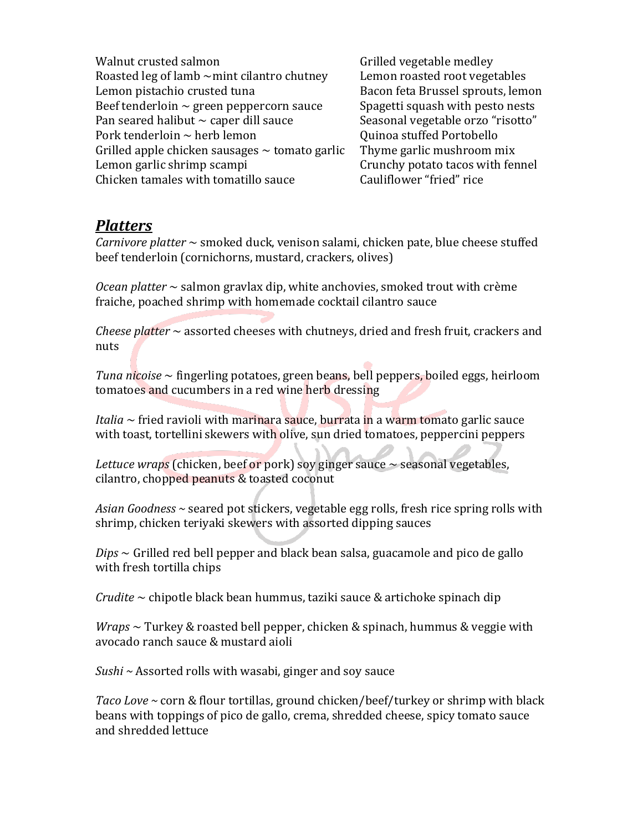Walnut crusted salmon and the control of Grilled vegetable medley Roasted  $\log$  of lamb  $\sim$ mint cilantro chutney Lemon roasted root vegetables Lemon pistachio crusted tuna Bacon feta Brussel sprouts, lemon Beef tenderloin  $\sim$  green peppercorn sauce Spagetti squash with pesto nests Pan seared halibut  $\sim$  caper dill sauce Seasonal vegetable orzo "risotto" Pork tenderloin  $\sim$  herb lemon  $\sim$  Quinoa stuffed Portobello Grilled apple chicken sausages  $\sim$  tomato garlic Thyme garlic mushroom mix Lemon garlic shrimp scampi example of the Crunchy potato tacos with fennel Chicken tamales with tomatillo sauce Cauliflower "fried" rice

## *Platters*

*Carnivore platter* ~ smoked duck, venison salami, chicken pate, blue cheese stuffed beef tenderloin (cornichorns, mustard, crackers, olives)

*Ocean platter* ~ salmon gravlax dip, white anchovies, smoked trout with crème fraiche, poached shrimp with homemade cocktail cilantro sauce

*Cheese platter*  $\sim$  assorted cheeses with chutneys, dried and fresh fruit, crackers and nuts

*Tuna nicoise* ~ fingerling potatoes, green beans, bell peppers, boiled eggs, heirloom tomatoes and cucumbers in a red wine herb dressing

*Italia*  $\sim$  fried ravioli with marinara sauce, burrata in a warm tomato garlic sauce with toast, tortellini skewers with olive, sun dried tomatoes, peppercini peppers

*Lettuce* wraps (chicken, beef or pork) soy ginger sauce  $\sim$  seasonal vegetables, cilantro, chopped peanuts & toasted coconut

Asian Goodness ~ seared pot stickers, vegetable egg rolls, fresh rice spring rolls with shrimp, chicken teriyaki skewers with assorted dipping sauces

 $Dips \sim$  Grilled red bell pepper and black bean salsa, guacamole and pico de gallo with fresh tortilla chips

*Crudite* ~ chipotle black bean hummus, taziki sauce & artichoke spinach dip

*Wraps* ~ Turkey & roasted bell pepper, chicken & spinach, hummus & veggie with avocado ranch sauce & mustard aioli

*Sushi* ~ Assorted rolls with wasabi, ginger and soy sauce

*Taco Love* ~ corn & flour tortillas, ground chicken/beef/turkey or shrimp with black beans with toppings of pico de gallo, crema, shredded cheese, spicy tomato sauce and shredded lettuce